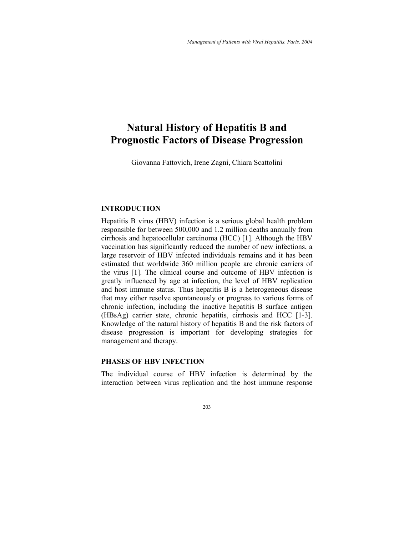# **Natural History of Hepatitis B and Prognostic Factors of Disease Progression**

Giovanna Fattovich, Irene Zagni, Chiara Scattolini

## **INTRODUCTION**

Hepatitis B virus (HBV) infection is a serious global health problem responsible for between 500,000 and 1.2 million deaths annually from cirrhosis and hepatocellular carcinoma (HCC) [1]. Although the HBV vaccination has significantly reduced the number of new infections, a large reservoir of HBV infected individuals remains and it has been estimated that worldwide 360 million people are chronic carriers of the virus [1]. The clinical course and outcome of HBV infection is greatly influenced by age at infection, the level of HBV replication and host immune status. Thus hepatitis B is a heterogeneous disease that may either resolve spontaneously or progress to various forms of chronic infection, including the inactive hepatitis B surface antigen (HBsAg) carrier state, chronic hepatitis, cirrhosis and HCC [1-3]. Knowledge of the natural history of hepatitis B and the risk factors of disease progression is important for developing strategies for management and therapy.

## **PHASES OF HBV INFECTION**

The individual course of HBV infection is determined by the interaction between virus replication and the host immune response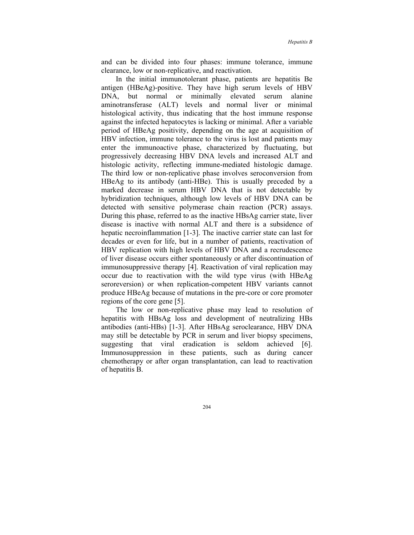and can be divided into four phases: immune tolerance, immune clearance, low or non-replicative, and reactivation.

In the initial immunotolerant phase, patients are hepatitis Be antigen (HBeAg)-positive. They have high serum levels of HBV DNA, but normal or minimally elevated serum alanine aminotransferase (ALT) levels and normal liver or minimal histological activity, thus indicating that the host immune response against the infected hepatocytes is lacking or minimal. After a variable period of HBeAg positivity, depending on the age at acquisition of HBV infection, immune tolerance to the virus is lost and patients may enter the immunoactive phase, characterized by fluctuating, but progressively decreasing HBV DNA levels and increased ALT and histologic activity, reflecting immune-mediated histologic damage. The third low or non-replicative phase involves seroconversion from HBeAg to its antibody (anti-HBe). This is usually preceded by a marked decrease in serum HBV DNA that is not detectable by hybridization techniques, although low levels of HBV DNA can be detected with sensitive polymerase chain reaction (PCR) assays. During this phase, referred to as the inactive HBsAg carrier state, liver disease is inactive with normal ALT and there is a subsidence of hepatic necroinflammation [1-3]. The inactive carrier state can last for decades or even for life, but in a number of patients, reactivation of HBV replication with high levels of HBV DNA and a recrudescence of liver disease occurs either spontaneously or after discontinuation of immunosuppressive therapy [4]. Reactivation of viral replication may occur due to reactivation with the wild type virus (with HBeAg seroreversion) or when replication-competent HBV variants cannot produce HBeAg because of mutations in the pre-core or core promoter regions of the core gene [5].

The low or non-replicative phase may lead to resolution of hepatitis with HBsAg loss and development of neutralizing HBs antibodies (anti-HBs) [1-3]. After HBsAg seroclearance, HBV DNA may still be detectable by PCR in serum and liver biopsy specimens, suggesting that viral eradication is seldom achieved [6]. Immunosuppression in these patients, such as during cancer chemotherapy or after organ transplantation, can lead to reactivation of hepatitis B.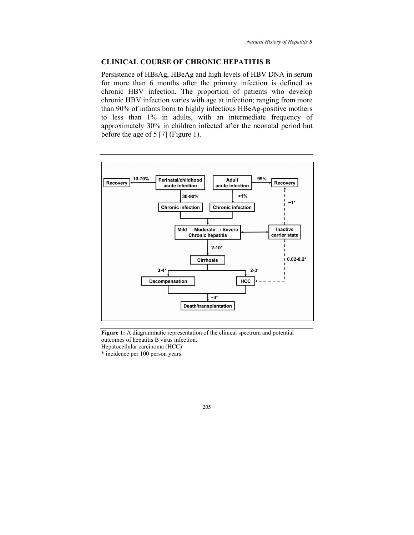## **CLINICAL COURSE OF CHRONIC HEPATITIS B**

Persistence of HBsAg, HBeAg and high levels of HBV DNA in serum for more than 6 months after the primary infection is defined as chronic HBV infection. The proportion of patients who develop chronic HBV infection varies with age at infection; ranging from more than 90% of infants born to highly infectious HBeAg-positive mothers to less than 1% in adults, with an intermediate frequency of approximately 30% in children infected after the neonatal period but before the age of 5 [7] (Figure 1).



**Figure 1:** A diagrammatic representation of the clinical spectrum and potential outcomes of hepatitis B virus infection. Hepatocellular carcinoma (HCC)

\* incidence per 100 person years.

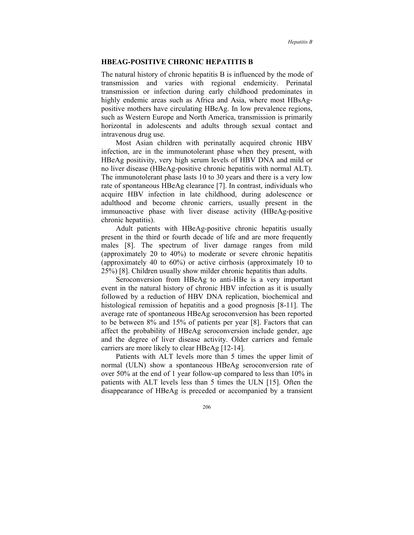#### **HBEAG-POSITIVE CHRONIC HEPATITIS B**

The natural history of chronic hepatitis B is influenced by the mode of transmission and varies with regional endemicity. Perinatal transmission or infection during early childhood predominates in highly endemic areas such as Africa and Asia, where most HBsAgpositive mothers have circulating HBeAg. In low prevalence regions, such as Western Europe and North America, transmission is primarily horizontal in adolescents and adults through sexual contact and intravenous drug use.

Most Asian children with perinatally acquired chronic HBV infection, are in the immunotolerant phase when they present, with HBeAg positivity, very high serum levels of HBV DNA and mild or no liver disease (HBeAg-positive chronic hepatitis with normal ALT). The immunotolerant phase lasts 10 to 30 years and there is a very low rate of spontaneous HBeAg clearance [7]. In contrast, individuals who acquire HBV infection in late childhood, during adolescence or adulthood and become chronic carriers, usually present in the immunoactive phase with liver disease activity (HBeAg-positive chronic hepatitis).

Adult patients with HBeAg-positive chronic hepatitis usually present in the third or fourth decade of life and are more frequently males [8]. The spectrum of liver damage ranges from mild (approximately 20 to 40%) to moderate or severe chronic hepatitis (approximately 40 to 60%) or active cirrhosis (approximately 10 to 25%) [8]. Children usually show milder chronic hepatitis than adults.

Seroconversion from HBeAg to anti-HBe is a very important event in the natural history of chronic HBV infection as it is usually followed by a reduction of HBV DNA replication, biochemical and histological remission of hepatitis and a good prognosis [8-11]. The average rate of spontaneous HBeAg seroconversion has been reported to be between 8% and 15% of patients per year [8]. Factors that can affect the probability of HBeAg seroconversion include gender, age and the degree of liver disease activity. Older carriers and female carriers are more likely to clear HBeAg [12-14].

Patients with ALT levels more than 5 times the upper limit of normal (ULN) show a spontaneous HBeAg seroconversion rate of over 50% at the end of 1 year follow-up compared to less than 10% in patients with ALT levels less than 5 times the ULN [15]. Often the disappearance of HBeAg is preceded or accompanied by a transient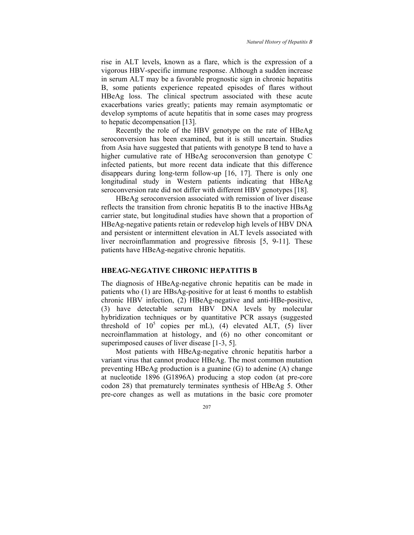rise in ALT levels, known as a flare, which is the expression of a vigorous HBV-specific immune response. Although a sudden increase in serum ALT may be a favorable prognostic sign in chronic hepatitis B, some patients experience repeated episodes of flares without HBeAg loss. The clinical spectrum associated with these acute exacerbations varies greatly; patients may remain asymptomatic or develop symptoms of acute hepatitis that in some cases may progress to hepatic decompensation [13].

Recently the role of the HBV genotype on the rate of HBeAg seroconversion has been examined, but it is still uncertain. Studies from Asia have suggested that patients with genotype B tend to have a higher cumulative rate of HBeAg seroconversion than genotype C infected patients, but more recent data indicate that this difference disappears during long-term follow-up [16, 17]. There is only one longitudinal study in Western patients indicating that HBeAg seroconversion rate did not differ with different HBV genotypes [18].

HBeAg seroconversion associated with remission of liver disease reflects the transition from chronic hepatitis B to the inactive HBsAg carrier state, but longitudinal studies have shown that a proportion of HBeAg-negative patients retain or redevelop high levels of HBV DNA and persistent or intermittent elevation in ALT levels associated with liver necroinflammation and progressive fibrosis [5, 9-11]. These patients have HBeAg-negative chronic hepatitis.

## **HBEAG-NEGATIVE CHRONIC HEPATITIS B**

The diagnosis of HBeAg-negative chronic hepatitis can be made in patients who (1) are HBsAg-positive for at least 6 months to establish chronic HBV infection, (2) HBeAg-negative and anti-HBe-positive, (3) have detectable serum HBV DNA levels by molecular hybridization techniques or by quantitative PCR assays (suggested threshold of  $10^5$  copies per mL), (4) elevated ALT, (5) liver necroinflammation at histology, and (6) no other concomitant or superimposed causes of liver disease [1-3, 5].

Most patients with HBeAg-negative chronic hepatitis harbor a variant virus that cannot produce HBeAg. The most common mutation preventing HBeAg production is a guanine (G) to adenine (A) change at nucleotide 1896 (G1896A) producing a stop codon (at pre-core codon 28) that prematurely terminates synthesis of HBeAg 5. Other pre-core changes as well as mutations in the basic core promoter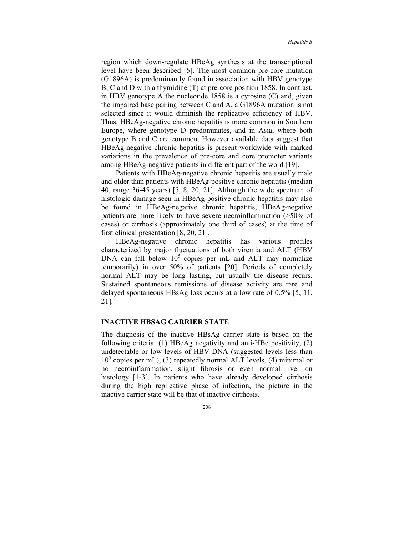region which down-regulate HBeAg synthesis at the transcriptional level have been described [5]. The most common pre-core mutation (G1896A) is predominantly found in association with HBV genotype B, C and D with a thymidine (T) at pre-core position 1858. In contrast, in HBV genotype A the nucleotide 1858 is a cytosine (C) and, given the impaired base pairing between C and A, a G1896A mutation is not selected since it would diminish the replicative efficiency of HBV. Thus, HBeAg-negative chronic hepatitis is more common in Southern Europe, where genotype D predominates, and in Asia, where both genotype B and C are common. However available data suggest that HBeAg-negative chronic hepatitis is present worldwide with marked variations in the prevalence of pre-core and core promoter variants among HBeAg-negative patients in different part of the word [19].

Patients with HBeAg-negative chronic hepatitis are usually male and older than patients with HBeAg-positive chronic hepatitis (median 40, range 36-45 years) [5, 8, 20, 21]. Although the wide spectrum of histologic damage seen in HBeAg-positive chronic hepatitis may also be found in HBeAg-negative chronic hepatitis, HBeAg-negative patients are more likely to have severe necroinflammation (>50% of cases) or cirrhosis (approximately one third of cases) at the time of first clinical presentation [8, 20, 21].

HBeAg-negative chronic hepatitis has various profiles characterized by major fluctuations of both viremia and ALT (HBV DNA can fall below  $10^5$  copies per mL and ALT may normalize temporarily) in over 50% of patients [20]. Periods of completely normal ALT may be long lasting, but usually the disease recurs. Sustained spontaneous remissions of disease activity are rare and delayed spontaneous HBsAg loss occurs at a low rate of 0.5% [5, 11, 21].

#### **INACTIVE HBSAG CARRIER STATE**

The diagnosis of the inactive HBsAg carrier state is based on the following criteria: (1) HBeAg negativity and anti-HBe positivity, (2) undetectable or low levels of HBV DNA (suggested levels less than 10<sup>5</sup> copies per mL), (3) repeatedly normal ALT levels, (4) minimal or no necroinflammation, slight fibrosis or even normal liver on histology [1-3]. In patients who have already developed cirrhosis during the high replicative phase of infection, the picture in the inactive carrier state will be that of inactive cirrhosis.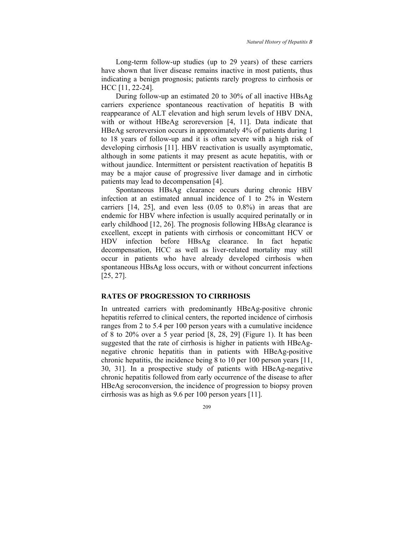Long-term follow-up studies (up to 29 years) of these carriers have shown that liver disease remains inactive in most patients, thus indicating a benign prognosis; patients rarely progress to cirrhosis or HCC [11, 22-24].

During follow-up an estimated 20 to 30% of all inactive HBsAg carriers experience spontaneous reactivation of hepatitis B with reappearance of ALT elevation and high serum levels of HBV DNA, with or without HBeAg seroreversion [4, 11]. Data indicate that HBeAg seroreversion occurs in approximately 4% of patients during 1 to 18 years of follow-up and it is often severe with a high risk of developing cirrhosis [11]. HBV reactivation is usually asymptomatic, although in some patients it may present as acute hepatitis, with or without jaundice. Intermittent or persistent reactivation of hepatitis B may be a major cause of progressive liver damage and in cirrhotic patients may lead to decompensation [4].

Spontaneous HBsAg clearance occurs during chronic HBV infection at an estimated annual incidence of 1 to 2% in Western carriers [14, 25], and even less (0.05 to 0.8%) in areas that are endemic for HBV where infection is usually acquired perinatally or in early childhood [12, 26]. The prognosis following HBsAg clearance is excellent, except in patients with cirrhosis or concomittant HCV or HDV infection before HBsAg clearance. In fact hepatic decompensation, HCC as well as liver-related mortality may still occur in patients who have already developed cirrhosis when spontaneous HBsAg loss occurs, with or without concurrent infections [25, 27].

#### **RATES OF PROGRESSION TO CIRRHOSIS**

In untreated carriers with predominantly HBeAg-positive chronic hepatitis referred to clinical centers, the reported incidence of cirrhosis ranges from 2 to 5.4 per 100 person years with a cumulative incidence of 8 to 20% over a 5 year period [8, 28, 29] (Figure 1). It has been suggested that the rate of cirrhosis is higher in patients with HBeAgnegative chronic hepatitis than in patients with HBeAg-positive chronic hepatitis, the incidence being 8 to 10 per 100 person years [11, 30, 31]. In a prospective study of patients with HBeAg-negative chronic hepatitis followed from early occurrence of the disease to after HBeAg seroconversion, the incidence of progression to biopsy proven cirrhosis was as high as 9.6 per 100 person years [11].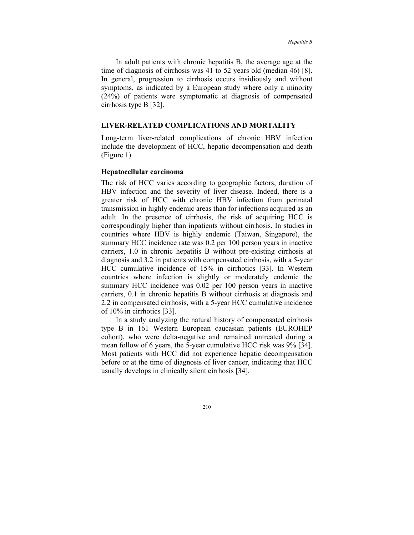In adult patients with chronic hepatitis B, the average age at the time of diagnosis of cirrhosis was 41 to 52 years old (median 46) [8]. In general, progression to cirrhosis occurs insidiously and without symptoms, as indicated by a European study where only a minority (24%) of patients were symptomatic at diagnosis of compensated cirrhosis type B [32].

#### **LIVER-RELATED COMPLICATIONS AND MORTALITY**

Long-term liver-related complications of chronic HBV infection include the development of HCC, hepatic decompensation and death (Figure 1).

#### **Hepatocellular carcinoma**

The risk of HCC varies according to geographic factors, duration of HBV infection and the severity of liver disease. Indeed, there is a greater risk of HCC with chronic HBV infection from perinatal transmission in highly endemic areas than for infections acquired as an adult. In the presence of cirrhosis, the risk of acquiring HCC is correspondingly higher than inpatients without cirrhosis. In studies in countries where HBV is highly endemic (Taiwan, Singapore), the summary HCC incidence rate was 0.2 per 100 person years in inactive carriers, 1.0 in chronic hepatitis B without pre-existing cirrhosis at diagnosis and 3.2 in patients with compensated cirrhosis, with a 5-year HCC cumulative incidence of 15% in cirrhotics [33]. In Western countries where infection is slightly or moderately endemic the summary HCC incidence was 0.02 per 100 person years in inactive carriers, 0.1 in chronic hepatitis B without cirrhosis at diagnosis and 2.2 in compensated cirrhosis, with a 5-year HCC cumulative incidence of 10% in cirrhotics [33].

In a study analyzing the natural history of compensated cirrhosis type B in 161 Western European caucasian patients (EUROHEP cohort), who were delta-negative and remained untreated during a mean follow of 6 years, the 5-year cumulative HCC risk was 9% [34]. Most patients with HCC did not experience hepatic decompensation before or at the time of diagnosis of liver cancer, indicating that HCC usually develops in clinically silent cirrhosis [34].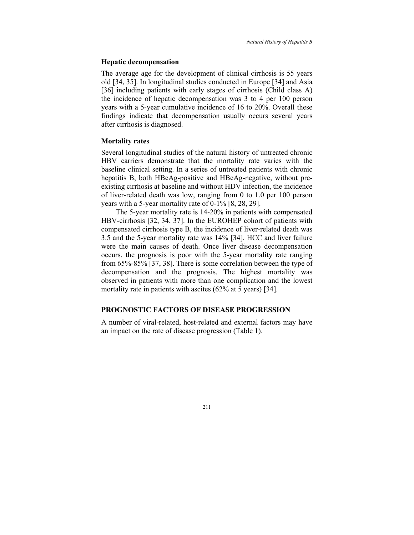#### **Hepatic decompensation**

The average age for the development of clinical cirrhosis is 55 years old [34, 35]. In longitudinal studies conducted in Europe [34] and Asia [36] including patients with early stages of cirrhosis (Child class A) the incidence of hepatic decompensation was 3 to 4 per 100 person years with a 5-year cumulative incidence of 16 to 20%. Overall these findings indicate that decompensation usually occurs several years after cirrhosis is diagnosed.

#### **Mortality rates**

Several longitudinal studies of the natural history of untreated chronic HBV carriers demonstrate that the mortality rate varies with the baseline clinical setting. In a series of untreated patients with chronic hepatitis B, both HBeAg-positive and HBeAg-negative, without preexisting cirrhosis at baseline and without HDV infection, the incidence of liver-related death was low, ranging from 0 to 1.0 per 100 person years with a 5-year mortality rate of 0-1% [8, 28, 29].

The 5-year mortality rate is 14-20% in patients with compensated HBV-cirrhosis [32, 34, 37]. In the EUROHEP cohort of patients with compensated cirrhosis type B, the incidence of liver-related death was 3.5 and the 5-year mortality rate was 14% [34]. HCC and liver failure were the main causes of death. Once liver disease decompensation occurs, the prognosis is poor with the 5-year mortality rate ranging from 65%-85% [37, 38]. There is some correlation between the type of decompensation and the prognosis. The highest mortality was observed in patients with more than one complication and the lowest mortality rate in patients with ascites (62% at 5 years) [34].

## **PROGNOSTIC FACTORS OF DISEASE PROGRESSION**

A number of viral-related, host-related and external factors may have an impact on the rate of disease progression (Table 1).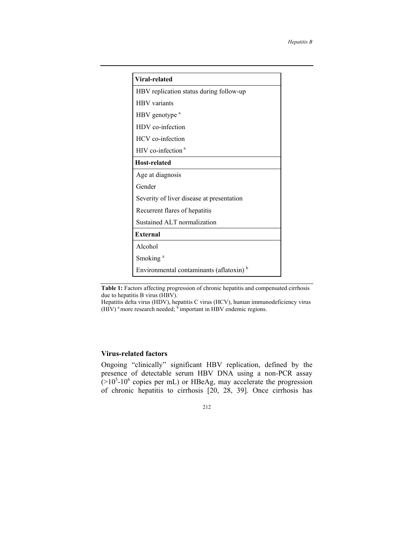| Viral-related                                       |
|-----------------------------------------------------|
| HBV replication status during follow-up             |
| <b>HBV</b> variants                                 |
| HBV genotype <sup>a</sup>                           |
| HDV co-infection                                    |
| HCV co-infection                                    |
| HIV co-infection <sup>a</sup>                       |
| <b>Host-related</b>                                 |
| Age at diagnosis                                    |
| Gender                                              |
| Severity of liver disease at presentation           |
| Recurrent flares of hepatitis                       |
| Sustained ALT normalization                         |
| <b>External</b>                                     |
| Alcohol                                             |
| Smoking <sup>a</sup>                                |
| Environmental contaminants (aflatoxin) <sup>b</sup> |

| <b>Table 1:</b> Factors affecting progression of chronic hepatitis and compensated cirrhosis |  |  |
|----------------------------------------------------------------------------------------------|--|--|
| due to hepatitis B virus (HBV).                                                              |  |  |

Hepatitis delta virus (HDV), hepatitis C virus (HCV), human immunodeficiency virus (HIV)<sup>a</sup> more research needed;  $\overrightarrow{b}$  important in HBV endemic regions.

## **Virus-related factors**

Ongoing "clinically" significant HBV replication, defined by the presence of detectable serum HBV DNA using a non-PCR assay  $(>10<sup>5</sup> - 10<sup>6</sup>$  copies per mL) or HBeAg, may accelerate the progression of chronic hepatitis to cirrhosis [20, 28, 39]. Once cirrhosis has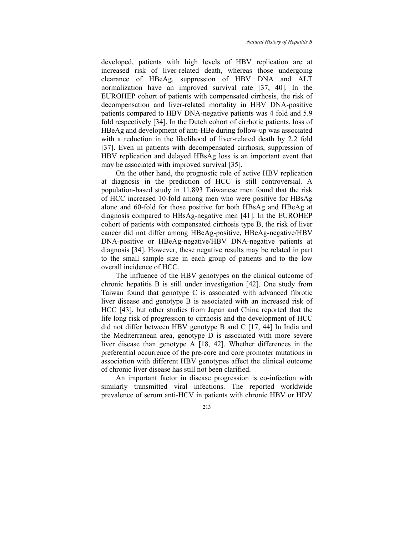developed, patients with high levels of HBV replication are at increased risk of liver-related death, whereas those undergoing clearance of HBeAg, suppression of HBV DNA and ALT normalization have an improved survival rate [37, 40]. In the EUROHEP cohort of patients with compensated cirrhosis, the risk of decompensation and liver-related mortality in HBV DNA-positive patients compared to HBV DNA-negative patients was 4 fold and 5.9 fold respectively [34]. In the Dutch cohort of cirrhotic patients, loss of HBeAg and development of anti-HBe during follow-up was associated with a reduction in the likelihood of liver-related death by 2.2 fold [37]. Even in patients with decompensated cirrhosis, suppression of HBV replication and delayed HBsAg loss is an important event that may be associated with improved survival [35].

On the other hand, the prognostic role of active HBV replication at diagnosis in the prediction of HCC is still controversial. A population-based study in 11,893 Taiwanese men found that the risk of HCC increased 10-fold among men who were positive for HBsAg alone and 60-fold for those positive for both HBsAg and HBeAg at diagnosis compared to HBsAg-negative men [41]. In the EUROHEP cohort of patients with compensated cirrhosis type B, the risk of liver cancer did not differ among HBeAg-positive, HBeAg-negative/HBV DNA-positive or HBeAg-negative/HBV DNA-negative patients at diagnosis [34]. However, these negative results may be related in part to the small sample size in each group of patients and to the low overall incidence of HCC.

The influence of the HBV genotypes on the clinical outcome of chronic hepatitis B is still under investigation [42]. One study from Taiwan found that genotype C is associated with advanced fibrotic liver disease and genotype B is associated with an increased risk of HCC [43], but other studies from Japan and China reported that the life long risk of progression to cirrhosis and the development of HCC did not differ between HBV genotype B and C [17, 44] In India and the Mediterranean area, genotype D is associated with more severe liver disease than genotype A [18, 42]. Whether differences in the preferential occurrence of the pre-core and core promoter mutations in association with different HBV genotypes affect the clinical outcome of chronic liver disease has still not been clarified.

An important factor in disease progression is co-infection with similarly transmitted viral infections. The reported worldwide prevalence of serum anti-HCV in patients with chronic HBV or HDV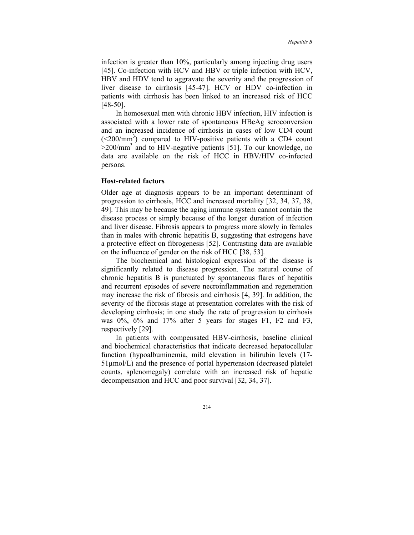infection is greater than 10%, particularly among injecting drug users [45]. Co-infection with HCV and HBV or triple infection with HCV, HBV and HDV tend to aggravate the severity and the progression of liver disease to cirrhosis [45-47]. HCV or HDV co-infection in patients with cirrhosis has been linked to an increased risk of HCC [48-50].

In homosexual men with chronic HBV infection, HIV infection is associated with a lower rate of spontaneous HBeAg seroconversion and an increased incidence of cirrhosis in cases of low CD4 count  $(<200/nm<sup>3</sup>)$  compared to HIV-positive patients with a CD4 count  $>$ 200/mm<sup>3</sup> and to HIV-negative patients [51]. To our knowledge, no data are available on the risk of HCC in HBV/HIV co-infected persons.

#### **Host-related factors**

Older age at diagnosis appears to be an important determinant of progression to cirrhosis, HCC and increased mortality [32, 34, 37, 38, 49]. This may be because the aging immune system cannot contain the disease process or simply because of the longer duration of infection and liver disease. Fibrosis appears to progress more slowly in females than in males with chronic hepatitis B, suggesting that estrogens have a protective effect on fibrogenesis [52]. Contrasting data are available on the influence of gender on the risk of HCC [38, 53].

The biochemical and histological expression of the disease is significantly related to disease progression. The natural course of chronic hepatitis B is punctuated by spontaneous flares of hepatitis and recurrent episodes of severe necroinflammation and regeneration may increase the risk of fibrosis and cirrhosis [4, 39]. In addition, the severity of the fibrosis stage at presentation correlates with the risk of developing cirrhosis; in one study the rate of progression to cirrhosis was 0%, 6% and 17% after 5 years for stages F1, F2 and F3, respectively [29].

In patients with compensated HBV-cirrhosis, baseline clinical and biochemical characteristics that indicate decreased hepatocellular function (hypoalbuminemia, mild elevation in bilirubin levels (17- 51µmol/L) and the presence of portal hypertension (decreased platelet counts, splenomegaly) correlate with an increased risk of hepatic decompensation and HCC and poor survival [32, 34, 37].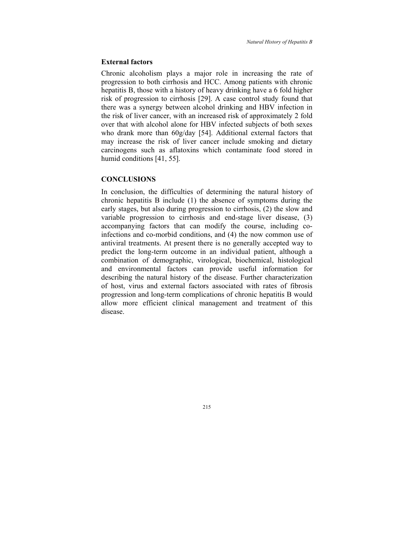#### **External factors**

Chronic alcoholism plays a major role in increasing the rate of progression to both cirrhosis and HCC. Among patients with chronic hepatitis B, those with a history of heavy drinking have a 6 fold higher risk of progression to cirrhosis [29]. A case control study found that there was a synergy between alcohol drinking and HBV infection in the risk of liver cancer, with an increased risk of approximately 2 fold over that with alcohol alone for HBV infected subjects of both sexes who drank more than 60g/day [54]. Additional external factors that may increase the risk of liver cancer include smoking and dietary carcinogens such as aflatoxins which contaminate food stored in humid conditions [41, 55].

### **CONCLUSIONS**

In conclusion, the difficulties of determining the natural history of chronic hepatitis B include (1) the absence of symptoms during the early stages, but also during progression to cirrhosis, (2) the slow and variable progression to cirrhosis and end-stage liver disease, (3) accompanying factors that can modify the course, including coinfections and co-morbid conditions, and (4) the now common use of antiviral treatments. At present there is no generally accepted way to predict the long-term outcome in an individual patient, although a combination of demographic, virological, biochemical, histological and environmental factors can provide useful information for describing the natural history of the disease. Further characterization of host, virus and external factors associated with rates of fibrosis progression and long-term complications of chronic hepatitis B would allow more efficient clinical management and treatment of this disease.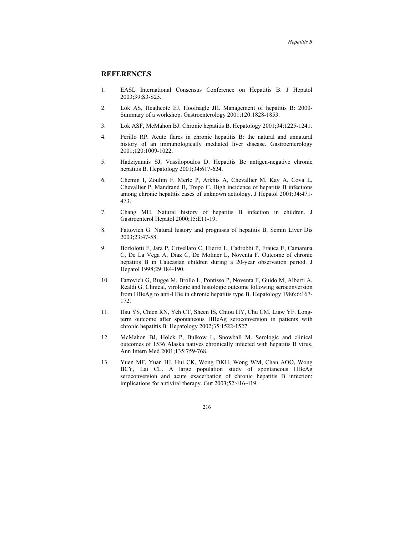## **REFERENCES**

- 1. EASL International Consensus Conference on Hepatitis B. J Hepatol 2003;39:S3-S25.
- 2. Lok AS, Heathcote EJ, Hoofnagle JH. Management of hepatitis B: 2000- Summary of a workshop. Gastroenterology 2001;120:1828-1853.
- 3. Lok ASF, McMahon BJ. Chronic hepatitis B. Hepatology 2001;34:1225-1241.
- 4. Perillo RP. Acute flares in chronic hepatitis B: the natural and unnatural history of an immunologically mediated liver disease. Gastroenterology 2001;120:1009-1022.
- 5. Hadziyannis SJ, Vassilopoulos D. Hepatitis Be antigen-negative chronic hepatitis B. Hepatology 2001;34:617-624.
- 6. Chemin I, Zoulim F, Merle P, Arkhis A, Chevallier M, Kay A, Cova L, Chevallier P, Mandrand B, Trepo C. High incidence of hepatitis B infections among chronic hepatitis cases of unknown aetiology. J Hepatol 2001;34:471- 473.
- 7. Chang MH. Natural history of hepatitis B infection in children. J Gastroenterol Hepatol 2000;15:E11-19.
- 8. Fattovich G. Natural history and prognosis of hepatitis B. Semin Liver Dis 2003;23:47-58.
- 9. Bortolotti F, Jara P, Crivellaro C, Hierro L, Cadrobbi P, Frauca E, Camarena C, De La Vega A, Diaz C, De Moliner L, Noventa F. Outcome of chronic hepatitis B in Caucasian children during a 20-year observation period. J Hepatol 1998;29:184-190.
- 10. Fattovich G, Rugge M, Brollo L, Pontisso P, Noventa F, Guido M, Alberti A, Realdi G. Clinical, virologic and histologic outcome following seroconversion from HBeAg to anti-HBe in chronic hepatitis type B. Hepatology 1986;6:167- 172.
- 11. Hsu YS, Chien RN, Yeh CT, Sheen IS, Chiou HY, Chu CM, Liaw YF. Longterm outcome after spontaneous HBeAg seroconversion in patients with chronic hepatitis B. Hepatology 2002;35:1522-1527.
- 12. McMahon BJ, Holck P, Bulkow L, Snowball M. Serologic and clinical outcomes of 1536 Alaska natives chronically infected with hepatitis B virus. Ann Intern Med 2001;135:759-768.
- 13. Yuen MF, Yuan HJ, Hui CK, Wong DKH, Wong WM, Chan AOO, Wong BCY, Lai CL. A large population study of spontaneous HBeAg seroconversion and acute exacerbation of chronic hepatitis B infection: implications for antiviral therapy. Gut 2003;52:416-419.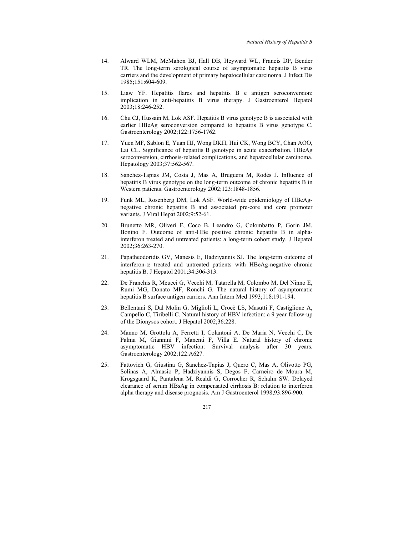- 14. Alward WLM, McMahon BJ, Hall DB, Heyward WL, Francis DP, Bender TR. The long-term serological course of asymptomatic hepatitis B virus carriers and the development of primary hepatocellular carcinoma. J Infect Dis 1985;151:604-609.
- 15. Liaw YF. Hepatitis flares and hepatitis B e antigen seroconversion: implication in anti-hepatitis B virus therapy. J Gastroenterol Hepatol 2003;18:246-252.
- 16. Chu CJ, Hussain M, Lok ASF. Hepatitis B virus genotype B is associated with earlier HBeAg seroconversion compared to hepatitis B virus genotype C. Gastroenterology 2002;122:1756-1762.
- 17. Yuen MF, Sablon E, Yuan HJ, Wong DKH, Hui CK, Wong BCY, Chan AOO, Lai CL. Significance of hepatitis B genotype in acute exacerbation, HBeAg seroconversion, cirrhosis-related complications, and hepatocellular carcinoma. Hepatology 2003;37:562-567.
- 18. Sanchez-Tapias JM, Costa J, Mas A, Bruguera M, Rodès J. Influence of hepatitis B virus genotype on the long-term outcome of chronic hepatitis B in Western patients. Gastroenterology 2002;123:1848-1856.
- 19. Funk ML, Rosenberg DM, Lok ASF. World-wide epidemiology of HBeAgnegative chronic hepatitis B and associated pre-core and core promoter variants. J Viral Hepat 2002;9:52-61.
- 20. Brunetto MR, Oliveri F, Coco B, Leandro G, Colombatto P, Gorin JM, Bonino F. Outcome of anti-HBe positive chronic hepatitis B in alphainterferon treated and untreated patients: a long-term cohort study. J Hepatol 2002;36:263-270.
- 21. Papatheodoridis GV, Manesis E, Hadziyannis SJ. The long-term outcome of interferon-α treated and untreated patients with HBeAg-negative chronic hepatitis B. J Hepatol 2001;34:306-313.
- 22. De Franchis R, Meucci G, Vecchi M, Tatarella M, Colombo M, Del Ninno E, Rumi MG, Donato MF, Ronchi G. The natural history of asymptomatic hepatitis B surface antigen carriers. Ann Intern Med 1993;118:191-194.
- 23. Bellentani S, Dal Molin G, Miglioli L, Crocè LS, Masutti F, Castiglione A, Campello C, Tiribelli C. Natural history of HBV infection: a 9 year follow-up of the Dionysos cohort. J Hepatol 2002;36:228.
- 24. Manno M, Grottola A, Ferretti I, Colantoni A, De Maria N, Vecchi C, De Palma M, Giannini F, Manenti F, Villa E. Natural history of chronic asymptomatic HBV infection: Survival analysis after 30 years. Gastroenterology 2002;122:A627.
- 25. Fattovich G, Giustina G, Sanchez-Tapias J, Quero C, Mas A, Olivotto PG, Solinas A, Almasio P, Hadziyannis S, Degos F, Carneiro de Moura M, Krogsgaard K, Pantalena M, Realdi G, Corrocher R, Schalm SW. Delayed clearance of serum HBsAg in compensated cirrhosis B: relation to interferon alpha therapy and disease prognosis. Am J Gastroenterol 1998;93:896-900.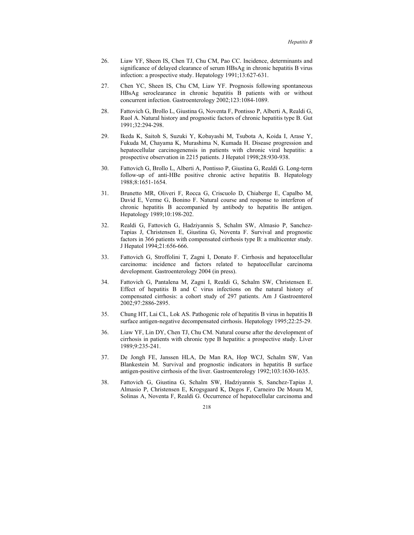- 26. Liaw YF, Sheen IS, Chen TJ, Chu CM, Pao CC. Incidence, determinants and significance of delayed clearance of serum HBsAg in chronic hepatitis B virus infection: a prospective study. Hepatology 1991;13:627-631.
- 27. Chen YC, Sheen IS, Chu CM, Liaw YF. Prognosis following spontaneous HBsAg seroclearance in chronic hepatitis B patients with or without concurrent infection. Gastroenterology 2002;123:1084-1089.
- 28. Fattovich G, Brollo L, Giustina G, Noventa F, Pontisso P, Alberti A, Realdi G, Ruol A. Natural history and prognostic factors of chronic hepatitis type B. Gut 1991;32:294-298.
- 29. Ikeda K, Saitoh S, Suzuki Y, Kobayashi M, Tsubota A, Koida I, Arase Y, Fukuda M, Chayama K, Murashima N, Kumada H. Disease progression and hepatocellular carcinogenensis in patients with chronic viral hepatitis: a prospective observation in 2215 patients. J Hepatol 1998;28:930-938.
- 30. Fattovich G, Brollo L, Alberti A, Pontisso P, Giustina G, Realdi G. Long-term follow-up of anti-HBe positive chronic active hepatitis B. Hepatology 1988;8:1651-1654.
- 31. Brunetto MR, Oliveri F, Rocca G, Criscuolo D, Chiaberge E, Capalbo M, David E, Verme G, Bonino F. Natural course and response to interferon of chronic hepatitis B accompanied by antibody to hepatitis Be antigen. Hepatology 1989;10:198-202.
- 32. Realdi G, Fattovich G, Hadziyannis S, Schalm SW, Almasio P, Sanchez-Tapias J, Christensen E, Giustina G, Noventa F. Survival and prognostic factors in 366 patients with compensated cirrhosis type B: a multicenter study. J Hepatol 1994;21:656-666.
- 33. Fattovich G, Stroffolini T, Zagni I, Donato F. Cirrhosis and hepatocellular carcinoma: incidence and factors related to hepatocellular carcinoma development. Gastroenterology 2004 (in press).
- 34. Fattovich G, Pantalena M, Zagni I, Realdi G, Schalm SW, Christensen E. Effect of hepatitis B and C virus infections on the natural history of compensated cirrhosis: a cohort study of 297 patients. Am J Gastroenterol 2002;97:2886-2895.
- 35. Chung HT, Lai CL, Lok AS. Pathogenic role of hepatitis B virus in hepatitis B surface antigen-negative decompensated cirrhosis. Hepatology 1995;22:25-29.
- 36. Liaw YF, Lin DY, Chen TJ, Chu CM. Natural course after the development of cirrhosis in patients with chronic type B hepatitis: a prospective study. Liver 1989;9:235-241.
- 37. De Jongh FE, Janssen HLA, De Man RA, Hop WCJ, Schalm SW, Van Blankestein M. Survival and prognostic indicators in hepatitis B surface antigen-positive cirrhosis of the liver. Gastroenterology 1992;103:1630-1635.
- 38. Fattovich G, Giustina G, Schalm SW, Hadziyannis S, Sanchez-Tapias J, Almasio P, Christensen E, Krogsgaard K, Degos F, Carneiro De Moura M, Solinas A, Noventa F, Realdi G. Occurrence of hepatocellular carcinoma and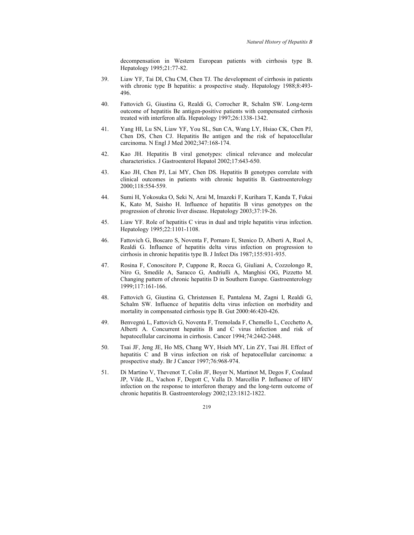decompensation in Western European patients with cirrhosis type B. Hepatology 1995;21:77-82.

- 39. Liaw YF, Tai DI, Chu CM, Chen TJ. The development of cirrhosis in patients with chronic type B hepatitis: a prospective study. Hepatology 1988;8:493-496.
- 40. Fattovich G, Giustina G, Realdi G, Corrocher R, Schalm SW. Long-term outcome of hepatitis Be antigen-positive patients with compensated cirrhosis treated with interferon alfa. Hepatology 1997;26:1338-1342.
- 41. Yang HI, Lu SN, Liaw YF, You SL, Sun CA, Wang LY, Hsiao CK, Chen PJ, Chen DS, Chen CJ. Hepatitis Be antigen and the risk of hepatocellular carcinoma. N Engl J Med 2002;347:168-174.
- 42. Kao JH. Hepatitis B viral genotypes: clinical relevance and molecular characteristics. J Gastroenterol Hepatol 2002;17:643-650.
- 43. Kao JH, Chen PJ, Lai MY, Chen DS. Hepatitis B genotypes correlate with clinical outcomes in patients with chronic hepatitis B. Gastroenterology 2000;118:554-559.
- 44. Sumi H, Yokosuka O, Seki N, Arai M, Imazeki F, Kurihara T, Kanda T, Fukai K, Kato M, Saisho H. Influence of hepatitis B virus genotypes on the progression of chronic liver disease. Hepatology 2003;37:19-26.
- 45. Liaw YF. Role of hepatitis C virus in dual and triple hepatitis virus infection. Hepatology 1995;22:1101-1108.
- 46. Fattovich G, Boscaro S, Noventa F, Pornaro E, Stenico D, Alberti A, Ruol A, Realdi G. Influence of hepatitis delta virus infection on progression to cirrhosis in chronic hepatitis type B. J Infect Dis 1987;155:931-935.
- 47. Rosina F, Conoscitore P, Cuppone R, Rocca G, Giuliani A, Cozzolongo R, Niro G, Smedile A, Saracco G, Andriulli A, Manghisi OG, Pizzetto M. Changing pattern of chronic hepatitis D in Southern Europe. Gastroenterology 1999;117:161-166.
- 48. Fattovich G, Giustina G, Christensen E, Pantalena M, Zagni I, Realdi G, Schalm SW. Influence of hepatitis delta virus infection on morbidity and mortality in compensated cirrhosis type B. Gut 2000:46:420-426.
- 49. Benvegnù L, Fattovich G, Noventa F, Tremolada F, Chemello L, Cecchetto A, Alberti A. Concurrent hepatitis B and C virus infection and risk of hepatocellular carcinoma in cirrhosis. Cancer 1994;74:2442-2448.
- 50. Tsai JF, Jeng JE, Ho MS, Chang WY, Hsieh MY, Lin ZY, Tsai JH. Effect of hepatitis C and B virus infection on risk of hepatocellular carcinoma: a prospective study. Br J Cancer 1997;76:968-974.
- 51. Di Martino V, Thevenot T, Colin JF, Boyer N, Martinot M, Degos F, Coulaud JP, Vilde JL, Vachon F, Degott C, Valla D. Marcellin P. Influence of HIV infection on the response to interferon therapy and the long-term outcome of chronic hepatitis B. Gastroenterology 2002;123:1812-1822.